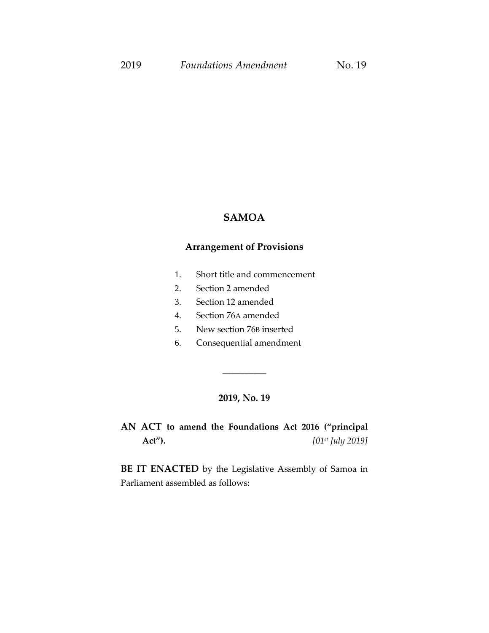#### **SAMOA**

#### **Arrangement of Provisions**

- 1. Short title and commencement
- 2. Section 2 amended
- 3. Section 12 amended
- 4. Section 76A amended
- 5. New section 76B inserted
- 6. Consequential amendment

#### **2019, No. 19**

\_\_\_\_\_\_\_\_\_\_

**AN ACT to amend the Foundations Act 2016 ("principal Act").** *[01st July 2019]*

**BE IT ENACTED** by the Legislative Assembly of Samoa in Parliament assembled as follows: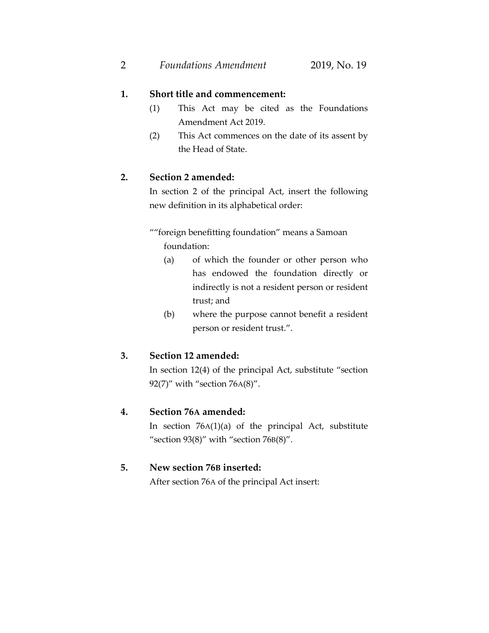#### **1. Short title and commencement:**

- (1) This Act may be cited as the Foundations Amendment Act 2019.
- (2) This Act commences on the date of its assent by the Head of State.

# **2. Section 2 amended:**

In section 2 of the principal Act, insert the following new definition in its alphabetical order:

""foreign benefitting foundation" means a Samoan foundation:

- (a) of which the founder or other person who has endowed the foundation directly or indirectly is not a resident person or resident trust; and
- (b) where the purpose cannot benefit a resident person or resident trust.".

## **3. Section 12 amended:**

In section 12(4) of the principal Act, substitute "section 92(7)" with "section 76A(8)".

## **4. Section 76A amended:**

In section 76A(1)(a) of the principal Act, substitute "section  $93(8)$ " with "section  $76B(8)$ ".

#### **5. New section 76B inserted:**

After section 76A of the principal Act insert: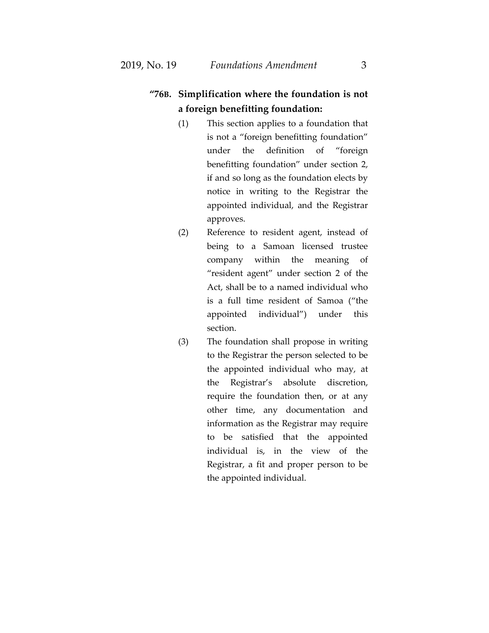# **"76B. Simplification where the foundation is not a foreign benefitting foundation:**

- (1) This section applies to a foundation that is not a "foreign benefitting foundation" under the definition of "foreign benefitting foundation" under section 2, if and so long as the foundation elects by notice in writing to the Registrar the appointed individual, and the Registrar approves.
- (2) Reference to resident agent, instead of being to a Samoan licensed trustee company within the meaning of "resident agent" under section 2 of the Act, shall be to a named individual who is a full time resident of Samoa ("the appointed individual") under this section.
- (3) The foundation shall propose in writing to the Registrar the person selected to be the appointed individual who may, at the Registrar's absolute discretion, require the foundation then, or at any other time, any documentation and information as the Registrar may require to be satisfied that the appointed individual is, in the view of the Registrar, a fit and proper person to be the appointed individual.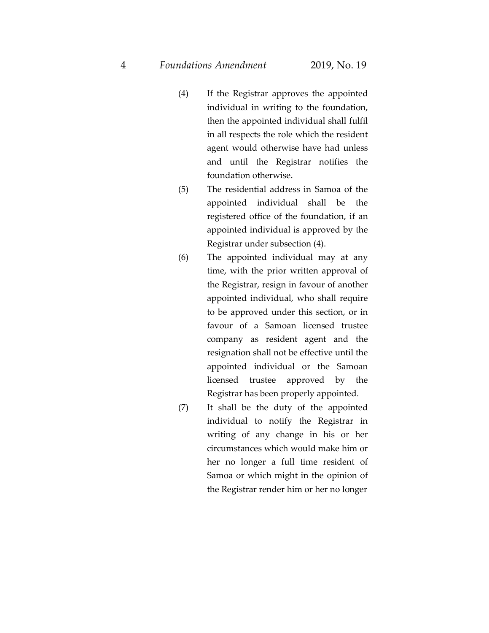- (4) If the Registrar approves the appointed individual in writing to the foundation, then the appointed individual shall fulfil in all respects the role which the resident agent would otherwise have had unless and until the Registrar notifies the foundation otherwise.
- (5) The residential address in Samoa of the appointed individual shall be the registered office of the foundation, if an appointed individual is approved by the Registrar under subsection (4).
- (6) The appointed individual may at any time, with the prior written approval of the Registrar, resign in favour of another appointed individual, who shall require to be approved under this section, or in favour of a Samoan licensed trustee company as resident agent and the resignation shall not be effective until the appointed individual or the Samoan licensed trustee approved by the Registrar has been properly appointed.
- (7) It shall be the duty of the appointed individual to notify the Registrar in writing of any change in his or her circumstances which would make him or her no longer a full time resident of Samoa or which might in the opinion of the Registrar render him or her no longer